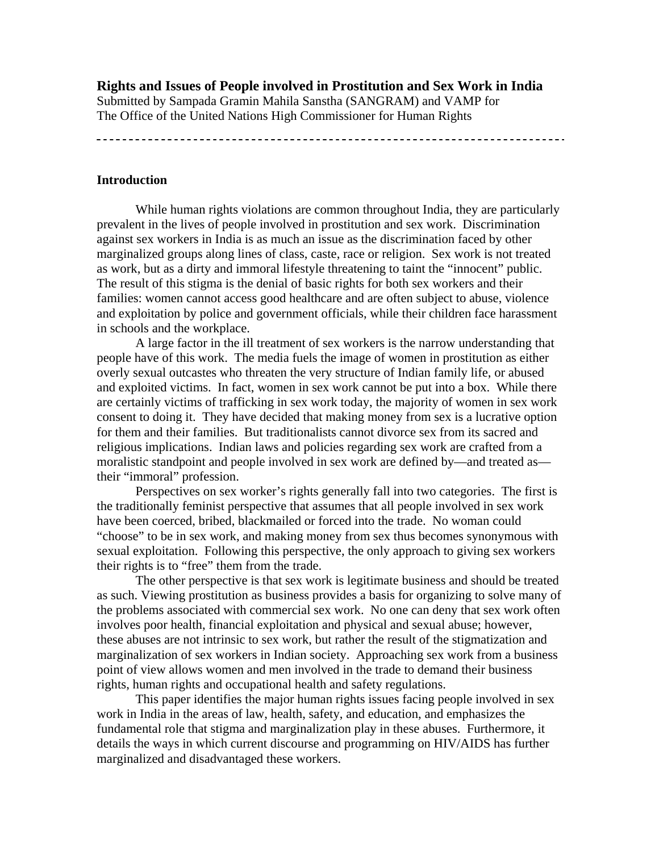**Rights and Issues of People involved in Prostitution and Sex Work in India**  Submitted by Sampada Gramin Mahila Sanstha (SANGRAM) and VAMP for The Office of the United Nations High Commissioner for Human Rights

#### **Introduction**

 While human rights violations are common throughout India, they are particularly prevalent in the lives of people involved in prostitution and sex work. Discrimination against sex workers in India is as much an issue as the discrimination faced by other marginalized groups along lines of class, caste, race or religion. Sex work is not treated as work, but as a dirty and immoral lifestyle threatening to taint the "innocent" public. The result of this stigma is the denial of basic rights for both sex workers and their families: women cannot access good healthcare and are often subject to abuse, violence and exploitation by police and government officials, while their children face harassment in schools and the workplace.

 A large factor in the ill treatment of sex workers is the narrow understanding that people have of this work. The media fuels the image of women in prostitution as either overly sexual outcastes who threaten the very structure of Indian family life, or abused and exploited victims. In fact, women in sex work cannot be put into a box. While there are certainly victims of trafficking in sex work today, the majority of women in sex work consent to doing it. They have decided that making money from sex is a lucrative option for them and their families. But traditionalists cannot divorce sex from its sacred and religious implications. Indian laws and policies regarding sex work are crafted from a moralistic standpoint and people involved in sex work are defined by—and treated as their "immoral" profession.

 Perspectives on sex worker's rights generally fall into two categories. The first is the traditionally feminist perspective that assumes that all people involved in sex work have been coerced, bribed, blackmailed or forced into the trade. No woman could "choose" to be in sex work, and making money from sex thus becomes synonymous with sexual exploitation. Following this perspective, the only approach to giving sex workers their rights is to "free" them from the trade.

 The other perspective is that sex work is legitimate business and should be treated as such. Viewing prostitution as business provides a basis for organizing to solve many of the problems associated with commercial sex work. No one can deny that sex work often involves poor health, financial exploitation and physical and sexual abuse; however, these abuses are not intrinsic to sex work, but rather the result of the stigmatization and marginalization of sex workers in Indian society. Approaching sex work from a business point of view allows women and men involved in the trade to demand their business rights, human rights and occupational health and safety regulations.

 This paper identifies the major human rights issues facing people involved in sex work in India in the areas of law, health, safety, and education, and emphasizes the fundamental role that stigma and marginalization play in these abuses. Furthermore, it details the ways in which current discourse and programming on HIV/AIDS has further marginalized and disadvantaged these workers.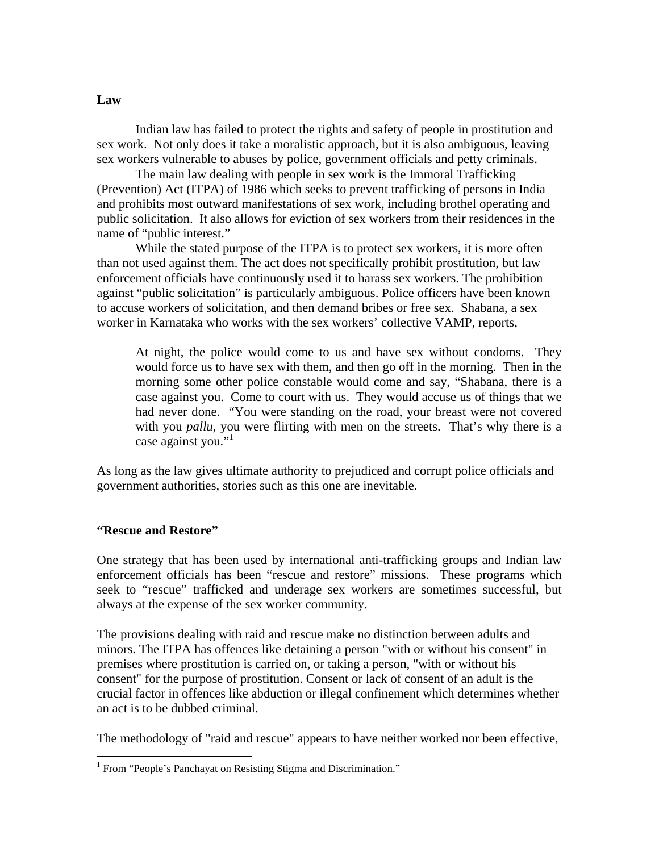Indian law has failed to protect the rights and safety of people in prostitution and sex work. Not only does it take a moralistic approach, but it is also ambiguous, leaving sex workers vulnerable to abuses by police, government officials and petty criminals.

 The main law dealing with people in sex work is the Immoral Trafficking (Prevention) Act (ITPA) of 1986 which seeks to prevent trafficking of persons in India and prohibits most outward manifestations of sex work, including brothel operating and public solicitation. It also allows for eviction of sex workers from their residences in the name of "public interest."

 While the stated purpose of the ITPA is to protect sex workers, it is more often than not used against them. The act does not specifically prohibit prostitution, but law enforcement officials have continuously used it to harass sex workers. The prohibition against "public solicitation" is particularly ambiguous. Police officers have been known to accuse workers of solicitation, and then demand bribes or free sex. Shabana, a sex worker in Karnataka who works with the sex workers' collective VAMP, reports,

 At night, the police would come to us and have sex without condoms. They would force us to have sex with them, and then go off in the morning. Then in the morning some other police constable would come and say, "Shabana, there is a case against you. Come to court with us. They would accuse us of things that we had never done. "You were standing on the road, your breast were not covered with you *pallu*, you were flirting with men on the streets. That's why there is a case against you."

As long as the law gives ultimate authority to prejudiced and corrupt police officials and government authorities, stories such as this one are inevitable.

# **"Rescue and Restore"**

 $\overline{a}$ 

One strategy that has been used by international anti-trafficking groups and Indian law enforcement officials has been "rescue and restore" missions. These programs which seek to "rescue" trafficked and underage sex workers are sometimes successful, but always at the expense of the sex worker community.

The provisions dealing with raid and rescue make no distinction between adults and minors. The ITPA has offences like detaining a person "with or without his consent" in premises where prostitution is carried on, or taking a person, "with or without his consent" for the purpose of prostitution. Consent or lack of consent of an adult is the crucial factor in offences like abduction or illegal confinement which determines whether an act is to be dubbed criminal.

The methodology of "raid and rescue" appears to have neither worked nor been effective,

# **Law**

<sup>&</sup>lt;sup>1</sup> From "People's Panchayat on Resisting Stigma and Discrimination."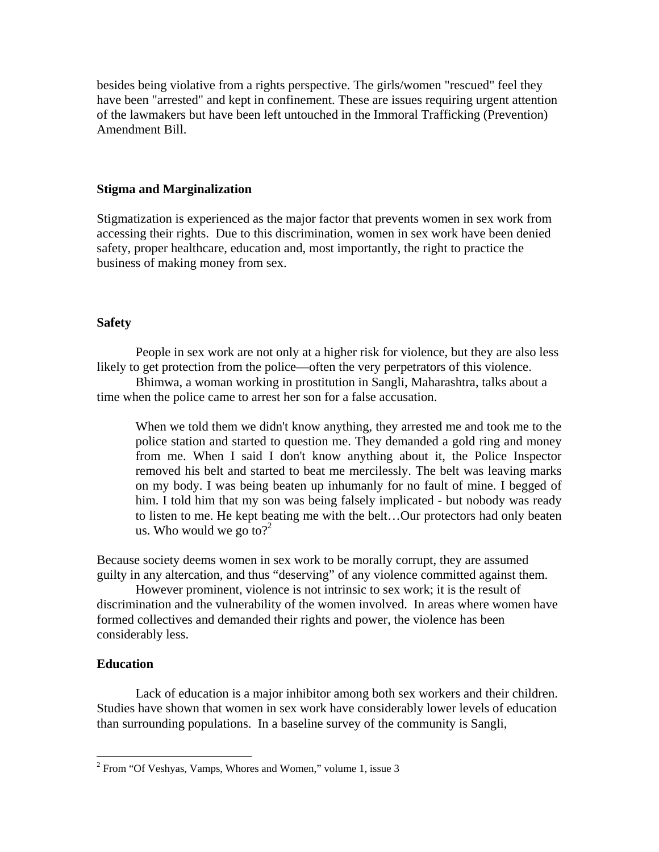besides being violative from a rights perspective. The girls/women "rescued" feel they have been "arrested" and kept in confinement. These are issues requiring urgent attention of the lawmakers but have been left untouched in the Immoral Trafficking (Prevention) Amendment Bill.

# **Stigma and Marginalization**

Stigmatization is experienced as the major factor that prevents women in sex work from accessing their rights. Due to this discrimination, women in sex work have been denied safety, proper healthcare, education and, most importantly, the right to practice the business of making money from sex.

# **Safety**

 People in sex work are not only at a higher risk for violence, but they are also less likely to get protection from the police—often the very perpetrators of this violence.

 Bhimwa, a woman working in prostitution in Sangli, Maharashtra, talks about a time when the police came to arrest her son for a false accusation.

 When we told them we didn't know anything, they arrested me and took me to the police station and started to question me. They demanded a gold ring and money from me. When I said I don't know anything about it, the Police Inspector removed his belt and started to beat me mercilessly. The belt was leaving marks on my body. I was being beaten up inhumanly for no fault of mine. I begged of him. I told him that my son was being falsely implicated - but nobody was ready to listen to me. He kept beating me with the belt…Our protectors had only beaten us. Who would we go to?<sup>2</sup>

Because society deems women in sex work to be morally corrupt, they are assumed guilty in any altercation, and thus "deserving" of any violence committed against them.

 However prominent, violence is not intrinsic to sex work; it is the result of discrimination and the vulnerability of the women involved. In areas where women have formed collectives and demanded their rights and power, the violence has been considerably less.

# **Education**

 $\overline{a}$ 

Lack of education is a major inhibitor among both sex workers and their children. Studies have shown that women in sex work have considerably lower levels of education than surrounding populations. In a baseline survey of the community is Sangli,

<sup>&</sup>lt;sup>2</sup> From "Of Veshyas, Vamps, Whores and Women," volume 1, issue 3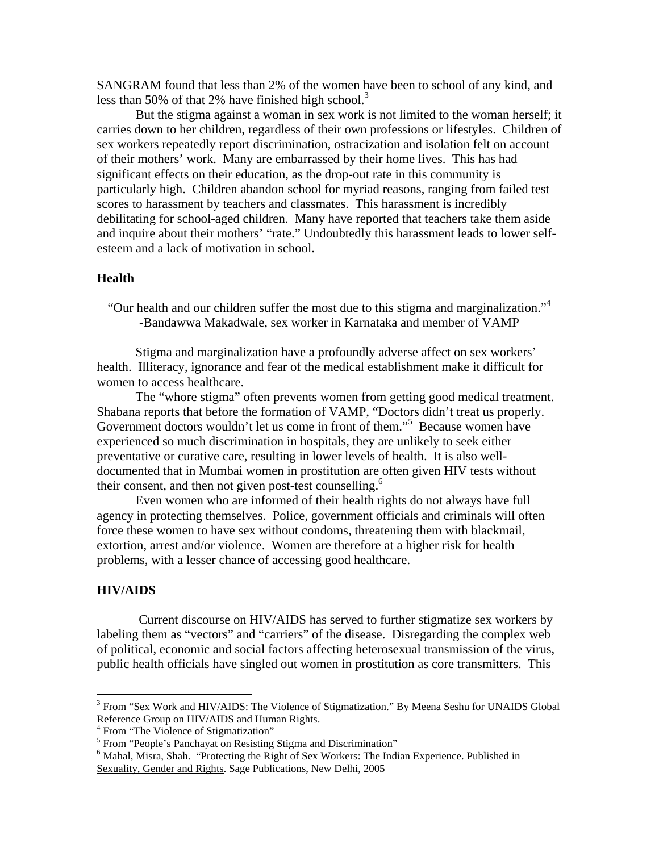SANGRAM found that less than 2% of the women have been to school of any kind, and less than 50% of that 2% have finished high school.<sup>3</sup>

 But the stigma against a woman in sex work is not limited to the woman herself; it carries down to her children, regardless of their own professions or lifestyles. Children of sex workers repeatedly report discrimination, ostracization and isolation felt on account of their mothers' work. Many are embarrassed by their home lives. This has had significant effects on their education, as the drop-out rate in this community is particularly high. Children abandon school for myriad reasons, ranging from failed test scores to harassment by teachers and classmates. This harassment is incredibly debilitating for school-aged children. Many have reported that teachers take them aside and inquire about their mothers' "rate." Undoubtedly this harassment leads to lower selfesteem and a lack of motivation in school.

# **Health**

"Our health and our children suffer the most due to this stigma and marginalization."4 -Bandawwa Makadwale, sex worker in Karnataka and member of VAMP

Stigma and marginalization have a profoundly adverse affect on sex workers' health. Illiteracy, ignorance and fear of the medical establishment make it difficult for women to access healthcare.

 The "whore stigma" often prevents women from getting good medical treatment. Shabana reports that before the formation of VAMP, "Doctors didn't treat us properly. Government doctors wouldn't let us come in front of them."<sup>5</sup> Because women have experienced so much discrimination in hospitals, they are unlikely to seek either preventative or curative care, resulting in lower levels of health. It is also welldocumented that in Mumbai women in prostitution are often given HIV tests without their consent, and then not given post-test counselling.<sup>6</sup>

 Even women who are informed of their health rights do not always have full agency in protecting themselves. Police, government officials and criminals will often force these women to have sex without condoms, threatening them with blackmail, extortion, arrest and/or violence. Women are therefore at a higher risk for health problems, with a lesser chance of accessing good healthcare.

#### **HIV/AIDS**

 $\overline{a}$ 

 Current discourse on HIV/AIDS has served to further stigmatize sex workers by labeling them as "vectors" and "carriers" of the disease. Disregarding the complex web of political, economic and social factors affecting heterosexual transmission of the virus, public health officials have singled out women in prostitution as core transmitters. This

<sup>&</sup>lt;sup>3</sup> From "Sex Work and HIV/AIDS: The Violence of Stigmatization." By Meena Seshu for UNAIDS Global Reference Group on HIV/AIDS and Human Rights.

<sup>&</sup>lt;sup>4</sup> From "The Violence of Stigmatization"

<sup>&</sup>lt;sup>5</sup> From "People's Panchayat on Resisting Stigma and Discrimination"

<sup>&</sup>lt;sup>6</sup> Mahal, Misra, Shah. "Protecting the Right of Sex Workers: The Indian Experience. Published in Sexuality, Gender and Rights. Sage Publications, New Delhi, 2005